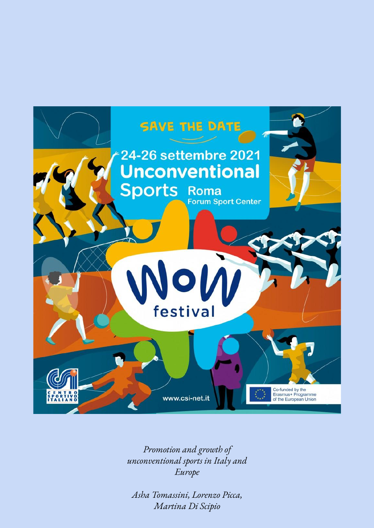

*Promotion and growth of unconventional sports in Italy and Europe*

*Asha Tomassini, Lorenzo Picca, Martina Di Scipio*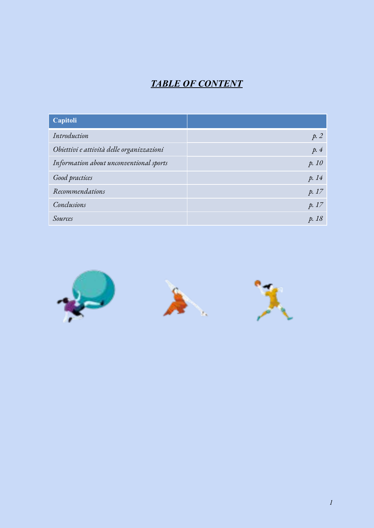# *TABLE OF CONTENT*

| Capitoli                                  |       |
|-------------------------------------------|-------|
| Introduction                              | p.2   |
| Obiettivi e attività delle organizzazioni | p.4   |
| Information about unconventional sports   | p. 10 |
| Good practices                            | p. 14 |
| Recommendations                           | p. 17 |
| Conclusions                               | p.17  |
| Sources                                   | p. 18 |

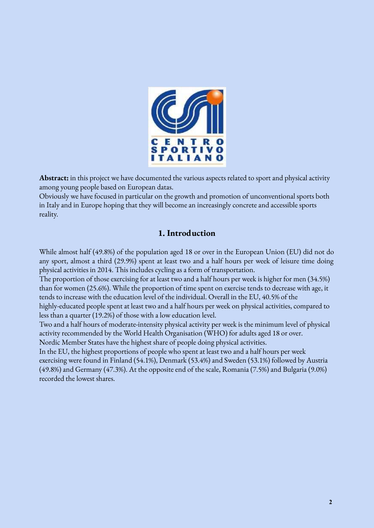

**Abstract:** in this project we have documented the various aspects related to sport and physical activity among young people based on European datas.

Obviously we have focused in particular on the growth and promotion of unconventional sports both in Italy and in Europe hoping that they will become an increasingly concrete and accessible sports reality.

### **1. Introduction**

While almost half (49.8%) of the population aged 18 or over in the European Union (EU) did not do any sport, almost a third (29.9%) spent at least two and a half hours per week of leisure time doing physical activities in 2014. This includes cycling as a form of transportation.

The proportion of those exercising for at least two and a half hours per week is higher for men (34.5%) than for women (25.6%). While the proportion of time spent on exercise tends to decrease with age, it tends to increase with the education level of the individual. Overall in the EU, 40.5% of the

highly-educated people spent at least two and a half hours per week on physical activities, compared to less than a quarter (19.2%) of those with a low education level.

Two and a half hours of moderate-intensity physical activity per week is the minimum level of physical activity recommended by the World Health Organisation (WHO) for adults aged 18 or over.

Nordic Member States have the highest share of people doing physical activities.

In the EU, the highest proportions of people who spent at least two and a half hours per week exercising were found in Finland (54.1%), Denmark (53.4%) and Sweden (53.1%) followed by Austria (49.8%) and Germany (47.3%). At the opposite end of the scale, Romania (7.5%) and Bulgaria (9.0%) recorded the lowest shares.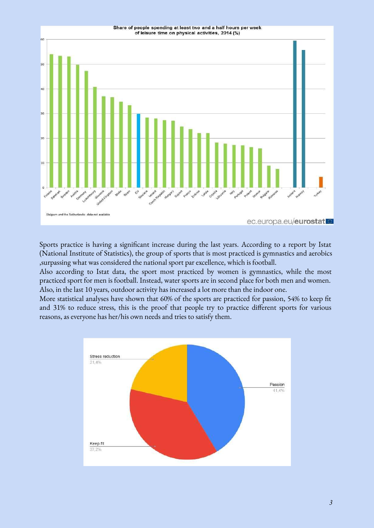

Sports practice is having a significant increase during the last years. According to a report by Istat (National Institute of Statistics), the group of sports that is most practiced is gymnastics and aerobics ,surpassing what was considered the national sport par excellence, which is football.

Also according to Istat data, the sport most practiced by women is gymnastics, while the most practiced sport for men is football. Instead, water sports are in second place for both men and women. Also, in the last 10 years, outdoor activity has increased a lot more than the indoor one.

More statistical analyses have shown that 60% of the sports are practiced for passion, 54% to keep fit and 31% to reduce stress, this is the proof that people try to practice different sports for various reasons, as everyone has her/his own needs and tries to satisfy them.

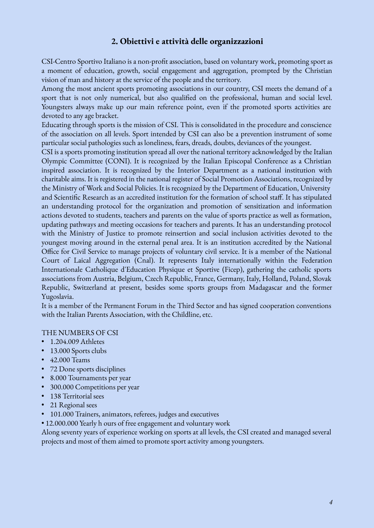### **2. Obiettivi e attività delle organizzazioni**

CSI-Centro Sportivo Italiano is a non-profit association, based on voluntary work, promoting sport as a moment of education, growth, social engagement and aggregation, prompted by the Christian vision of man and history at the service of the people and the territory.

Among the most ancient sports promoting associations in our country, CSI meets the demand of a sport that is not only numerical, but also qualified on the professional, human and social level. Youngsters always make up our main reference point, even if the promoted sports activities are devoted to any age bracket.

Educating through sports is the mission of CSI. This is consolidated in the procedure and conscience of the association on all levels. Sport intended by CSI can also be a prevention instrument of some particular social pathologies such as loneliness, fears, dreads, doubts, deviances of the youngest.

CSI is a sports promoting institution spread all over the national territory acknowledged by the Italian Olympic Committee (CONI). It is recognized by the Italian Episcopal Conference as a Christian inspired association. It is recognized by the Interior Department as a national institution with charitable aims. It is registered in the national register of Social Promotion Associations, recognized by the Ministry of Work and Social Policies. It is recognized by the Department of Education, University and Scientific Research as an accredited institution for the formation of school staff. It has stipulated an understanding protocol for the organization and promotion of sensitization and information actions devoted to students, teachers and parents on the value of sports practice as well as formation, updating pathways and meeting occasions for teachers and parents. It has an understanding protocol with the Ministry of Justice to promote reinsertion and social inclusion activities devoted to the youngest moving around in the external penal area. It is an institution accredited by the National Office for Civil Service to manage projects of voluntary civil service. It is a member of the National Court of Laical Aggregation (Cnal). It represents Italy internationally within the Federation Internationale Catholique d'Education Physique et Sportive (Ficep), gathering the catholic sports associations from Austria, Belgium, Czech Republic, France, Germany, Italy, Holland, Poland, Slovak Republic, Switzerland at present, besides some sports groups from Madagascar and the former Yugoslavia.

It is a member of the Permanent Forum in the Third Sector and has signed cooperation conventions with the Italian Parents Association, with the Childline, etc.

#### THE NUMBERS OF CSI

- 1.204.009 Athletes
- 13.000 Sports clubs
- 42.000 Teams
- 72 Done sports disciplines
- 8.000 Tournaments per year
- 300.000 Competitions per year
- 138 Territorial sees
- 21 Regional sees
- 101.000 Trainers, animators, referees, judges and executives
- 12.000.000 Yearly h ours of free engagement and voluntary work

Along seventy years of experience working on sports at all levels, the CSI created and managed several projects and most of them aimed to promote sport activity among youngsters.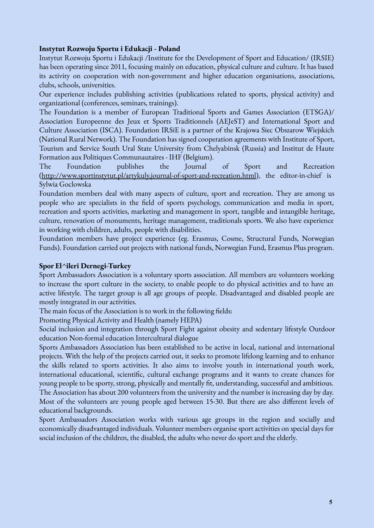### **Instytut Rozwoju Sportu i Edukacji - Poland**

Instytut Rozwoju Sportu i Edukacji /Institute for the Development of Sport and Education/ (IRSIE) has been operating since 2011, focusing mainly on education, physical culture and culture. It has based its activity on cooperation with non-government and higher education organisations, associations, clubs, schools, universities.

Our experience includes publishing activities (publications related to sports, physical activity) and organizational (conferences, seminars, trainings).

The Foundation is a member of European Traditional Sports and Games Association (ETSGA)/ Association Europeenne des Jeux et Sports Traditionnels (AEJeST) and International Sport and Culture Association (ISCA). Foundation IRSiE is a partner of the Krajowa Siec Obszarow Wiejskich (National Rural Network). The Foundation has signed cooperation agreements with Institute of Sport, Tourism and Service South Ural State University from Chelyabinsk (Russia) and Institut de Haute Formation aux Politiques Communautaires - IHF (Belgium).

The Foundation publishes the Journal of Sport and Recreation [\(http://www.sportinstytut.pl/artykuly,journal-of-sport-and-recreation.html\)](http://www.sportinstytut.pl/artykuly,journal-of-sport-and-recreation.html), the editor-in-chief is Sylwia Goclowska

Foundation members deal with many aspects of culture, sport and recreation. They are among us people who are specialists in the field of sports psychology, communication and media in sport, recreation and sports activities, marketing and management in sport, tangible and intangible heritage, culture, renovation of monuments, heritage management, traditionals sports. We also have experience in working with children, adults, people with disabilities.

Foundation members have project experience (eg. Erasmus, Cosme, Structural Funds, Norwegian Funds). Foundation carried out projects with national funds, Norwegian Fund, Erasmus Plus program.

#### **Spor El^ileri Dernegi-Turkey**

Sport Ambassadors Association is a voluntary sports association. All members are volunteers working to increase the sport culture in the society, to enable people to do physical activities and to have an active lifestyle. The target group is all age groups of people. Disadvantaged and disabled people are mostly integrated in our activities.

The main focus of the Association is to work in the following fields:

Promoting Physical Activity and Health (namely HEPA)

Social inclusion and integration through Sport Fight against obesity and sedentary lifestyle Outdoor education Non-formal education Intercultural dialogue

Sports Ambassadors Association has been established to be active in local, national and international projects. With the help of the projects carried out, it seeks to promote lifelong learning and to enhance the skills related to sports activities. It also aims to involve youth in international youth work, international educational, scientific, cultural exchange programs and it wants to create chances for young people to be sporty, strong, physically and mentally fit, understanding, successful and ambitious. The Association has about 200 volunteers from the university and the number is increasing day by day. Most of the volunteers are young people aged between 15-30. But there are also different levels of educational backgrounds.

Sport Ambassadors Association works with various age groups in the region and socially and economically disadvantaged individuals. Volunteer members organise sport activities on special days for social inclusion of the children, the disabled, the adults who never do sport and the elderly.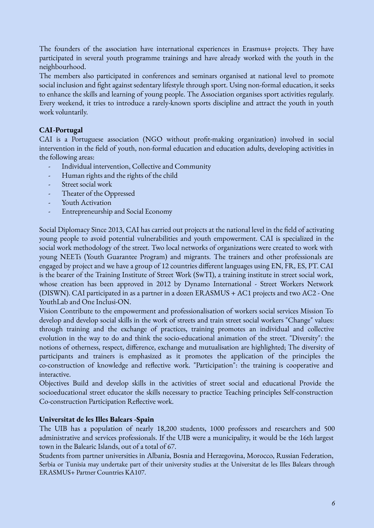The founders of the association have international experiences in Erasmus+ projects. They have participated in several youth programme trainings and have already worked with the youth in the neighbourhood.

The members also participated in conferences and seminars organised at national level to promote social inclusion and fight against sedentary lifestyle through sport. Using non-formal education, it seeks to enhance the skills and learning of young people. The Association organises sport activities regularly. Every weekend, it tries to introduce a rarely-known sports discipline and attract the youth in youth work voluntarily.

### **CAI-Portugal**

CAI is a Portuguese association (NGO without profit-making organization) involved in social intervention in the field of youth, non-formal education and education adults, developing activities in the following areas:

- Individual intervention, Collective and Community
- Human rights and the rights of the child
- Street social work
- Theater of the Oppressed
- Youth Activation
- Entrepreneurship and Social Economy

Social Diplomacy Since 2013, CAI has carried out projects at the national level in the field of activating young people to avoid potential vulnerabilities and youth empowerment. CAI is specialized in the social work methodology of the street. Two local networks of organizations were created to work with young NEETs (Youth Guarantee Program) and migrants. The trainers and other professionals are engaged by project and we have a group of 12 countries different languages using EN, FR, ES, PT. CAI is the bearer of the Training Institute of Street Work (SwTI), a training institute in street social work, whose creation has been approved in 2012 by Dynamo International - Street Workers Network (DISWN). CAI participated in as a partner in a dozen ERASMUS + AC1 projects and two AC2 - One YouthLab and One Inclusi-ON.

Vision Contribute to the empowerment and professionalisation of workers social services Mission To develop and develop social skills in the work of streets and train street social workers "Change" values: through training and the exchange of practices, training promotes an individual and collective evolution in the way to do and think the socio-educational animation of the street. "Diversity": the notions of otherness, respect, difference, exchange and mutualisation are highlighted; The diversity of participants and trainers is emphasized as it promotes the application of the principles the co-construction of knowledge and reflective work. "Participation": the training is cooperative and interactive.

Objectives Build and develop skills in the activities of street social and educational Provide the socioeducational street educator the skills necessary to practice Teaching principles Self-construction Co-construction Participation Reflective work.

#### **Universitat de les Illes Balears -Spain**

The UIB has a population of nearly 18,200 students, 1000 professors and researchers and 500 administrative and services professionals. If the UIB were a municipality, it would be the 16th largest town in the Balearic Islands, out of a total of 67.

Students from partner universities in Albania, Bosnia and Herzegovina, Morocco, Russian Federation, Serbia or Tunisia may undertake part of their university studies at the Universitat de les Illes Balears through ERASMUS+ Partner Countries KA107.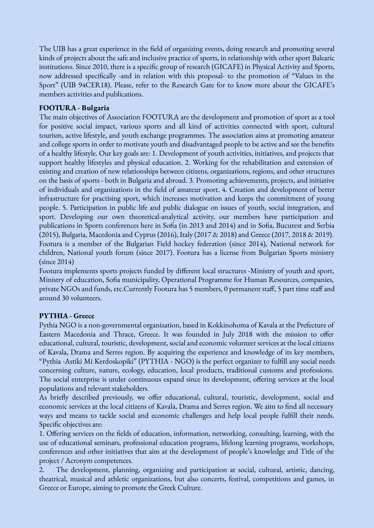The UIB has a great experience in the field of organizing events, doing research and promoting several kinds of projects about the safe and inclusive practice of sports, in relationship with other sport Balearic institutions. Since 2010, there is a specific group of research (GICAFE) in Physical Activity and Sports, now addressed specifically -and in relation with this proposal- to the promotion of "Values in the Sport" (UIB 94CER18). Please, refer to the Research Gate for to know more about the GICAFE's members activities and publications.

### **FOOTURA - Bulgaria**

The main objectives of Association FOOTURA are the development and promotion of sport as a tool for positive social impact, various sports and all kind of activities connected with sport, cultural tourism, active lifestyle, and youth exchange programmes. The association aims at promoting amateur and college sports in order to motivate youth and disadvantaged people to be active and see the benefits of a healthy lifestyle. Our key goals are: 1. Development of youth activities, initiatives, and projects that support healthy lifestyles and physical education. 2. Working for the rehabilitation and extension of existing and creation of new relationships between citizens, organizations, regions, and other structures on the basis of sports - both in Bulgaria and abroad. 3. Promoting achievements, projects, and initiative of individuals and organizations in the field of amateur sport. 4. Creation and development of better infrastructure for practising sport, which increases motivation and keeps the commitment of young people. 5. Participation in public life and public dialogue on issues of youth, social integration, and sport. Developing our own theoretical-analytical activity, our members have participation and publications in Sports conferences here in Sofia (in 2013 and 2014) and in Sofia, Bucurest and Serbia (2015), Bulgaria, Macedonia and Cyprus (2016), Italy (2017 & 2018) and Greece (2017, 2018 & 2019). Footura is a member of the Bulgarian Field hockey federation (since 2014), National network for children, National youth forum (since 2017). Footura has a license from Bulgarian Sports ministry (since 2014)

Footura implements sports projects funded by different local structures -Ministry of youth and sport, Ministry of education, Sofia municipality, Operational Programme for Human Resources, companies, private NGOs and funds, etc.Currently Footura has 5 members, 0 permanent staff, 5 part time staff and around 30 volunteers.

#### **PYTHIA - Greece**

Pythia NGO is a non-governmental organization, based in Kokkinohoma of Kavala at the Prefecture of Eastern Macedonia and Thrace, Greece. It was founded in July 2018 with the mission to offer educational, cultural, touristic, development, social and economic volunteer services at the local citizens of Kavala, Drama and Serres region. By acquiring the experience and knowledge of its key members, "Pythia -Astiki Mi Kerdoskopiki" (PYTHIA - NGO) is the perfect organizer to fulfill any social needs concerning culture, nature, ecology, education, local products, traditional customs and professions. The social enterprise is under continuous expand since its development, offering services at the local populations and relevant stakeholders.

As briefly described previously, we offer educational, cultural, touristic, development, social and economic services at the local citizens of Kavala, Drama and Serres region. We aim to find all necessary ways and means to tackle social and economic challenges and help local people fulfill their needs. Specific objectives are:

1. Offering services on the fields of education, information, networking, consulting, learning, with the use of educational seminars, professional education programs, lifelong learning programs, workshops, conferences and other initiatives that aim at the development of people's knowledge and Title of the project / Acronym competences.

2. The development, planning, organizing and participation at social, cultural, artistic, dancing, theatrical, musical and athletic organizations, but also concerts, festival, competitions and games, in Greece or Europe, aiming to promote the Greek Culture.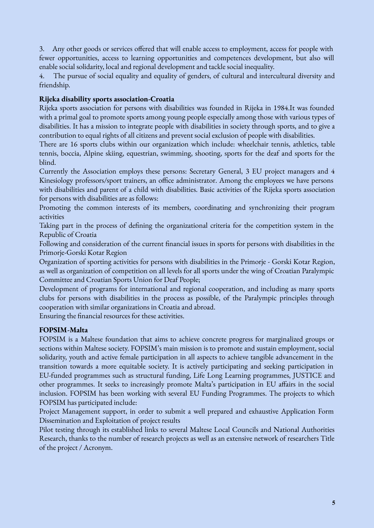3. Any other goods or services offered that will enable access to employment, access for people with fewer opportunities, access to learning opportunities and competences development, but also will enable social solidarity, local and regional development and tackle social inequality.

4. The pursue of social equality and equality of genders, of cultural and intercultural diversity and friendship.

### **Rijeka disability sports association-Croatia**

Rijeka sports association for persons with disabilities was founded in Rijeka in 1984.It was founded with a primal goal to promote sports among young people especially among those with various types of disabilities. It has a mission to integrate people with disabilities in society through sports, and to give a contribution to equal rights of all citizens and prevent social exclusion of people with disabilities.

There are 16 sports clubs within our organization which include: wheelchair tennis, athletics, table tennis, boccia, Alpine skiing, equestrian, swimming, shooting, sports for the deaf and sports for the blind.

Currently the Association employs these persons: Secretary General, 3 EU project managers and 4 Kinesiology professors/sport trainers, an office administrator. Among the employees we have persons with disabilities and parent of a child with disabilities. Basic activities of the Rijeka sports association for persons with disabilities are as follows:

Promoting the common interests of its members, coordinating and synchronizing their program activities

Taking part in the process of defining the organizational criteria for the competition system in the Republic of Croatia

Following and consideration of the current financial issues in sports for persons with disabilities in the Primorje-Gorski Kotar Region

Organization of sporting activities for persons with disabilities in the Primorje - Gorski Kotar Region, as well as organization of competition on all levels for all sports under the wing of Croatian Paralympic Committee and Croatian Sports Union for Deaf People;

Development of programs for international and regional cooperation, and including as many sports clubs for persons with disabilities in the process as possible, of the Paralympic principles through cooperation with similar organizations in Croatia and abroad.

Ensuring the financial resources for these activities.

#### **FOPSIM-Malta**

FOPSIM is a Maltese foundation that aims to achieve concrete progress for marginalized groups or sections within Maltese society. FOPSIM's main mission is to promote and sustain employment, social solidarity, youth and active female participation in all aspects to achieve tangible advancement in the transition towards a more equitable society. It is actively participating and seeking participation in EU-funded programmes such as structural funding, Life Long Learning programmes, JUSTICE and other programmes. It seeks to increasingly promote Malta's participation in EU affairs in the social inclusion. FOPSIM has been working with several EU Funding Programmes. The projects to which FOPSIM has participated include:

Project Management support, in order to submit a well prepared and exhaustive Application Form Dissemination and Exploitation of project results

Pilot testing through its established links to several Maltese Local Councils and National Authorities Research, thanks to the number of research projects as well as an extensive network of researchers Title of the project / Acronym.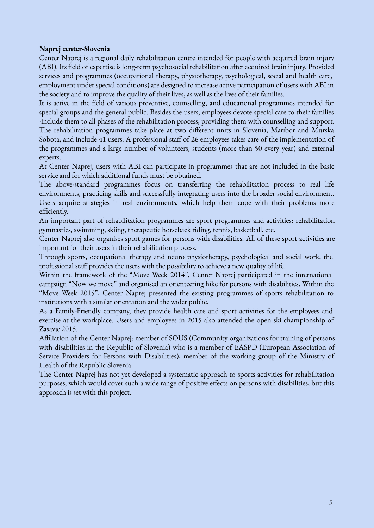#### **Naprej center-Slovenia**

Center Naprej is a regional daily rehabilitation centre intended for people with acquired brain injury (ABI). Its field of expertise is long-term psychosocial rehabilitation after acquired brain injury. Provided services and programmes (occupational therapy, physiotherapy, psychological, social and health care, employment under special conditions) are designed to increase active participation of users with ABI in the society and to improve the quality of their lives, as well as the lives of their families.

It is active in the field of various preventive, counselling, and educational programmes intended for special groups and the general public. Besides the users, employees devote special care to their families -include them to all phases of the rehabilitation process, providing them with counselling and support. The rehabilitation programmes take place at two different units in Slovenia, Maribor and Murska Sobota, and include 41 users. A professional staff of 26 employees takes care of the implementation of the programmes and a large number of volunteers, students (more than 50 every year) and external experts.

At Center Naprej, users with ABI can participate in programmes that are not included in the basic service and for which additional funds must be obtained.

The above-standard programmes focus on transferring the rehabilitation process to real life environments, practicing skills and successfully integrating users into the broader social environment. Users acquire strategies in real environments, which help them cope with their problems more efficiently.

An important part of rehabilitation programmes are sport programmes and activities: rehabilitation gymnastics, swimming, skiing, therapeutic horseback riding, tennis, basketball, etc.

Center Naprej also organises sport games for persons with disabilities. All of these sport activities are important for their users in their rehabilitation process.

Through sports, occupational therapy and neuro physiotherapy, psychological and social work, the professional staff provides the users with the possibility to achieve a new quality of life.

Within the framework of the "Move Week 2014", Center Naprej participated in the international campaign "Now we move" and organised an orienteering hike for persons with disabilities. Within the "Move Week 2015", Center Naprej presented the existing programmes of sports rehabilitation to institutions with a similar orientation and the wider public.

As a Family-Friendly company, they provide health care and sport activities for the employees and exercise at the workplace. Users and employees in 2015 also attended the open ski championship of Zasavje 2015.

Affiliation of the Center Naprej: member of SOUS (Community organizations for training of persons with disabilities in the Republic of Slovenia) who is a member of EASPD (European Association of Service Providers for Persons with Disabilities), member of the working group of the Ministry of Health of the Republic Slovenia.

The Center Naprej has not yet developed a systematic approach to sports activities for rehabilitation purposes, which would cover such a wide range of positive effects on persons with disabilities, but this approach is set with this project.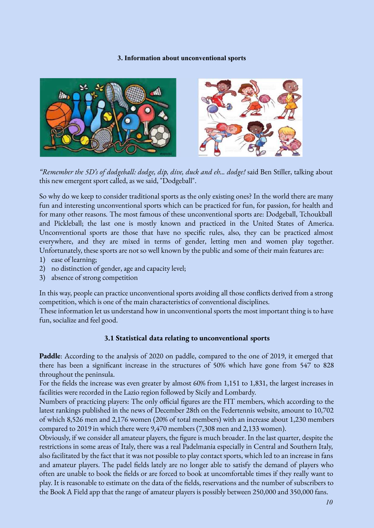#### **3. Information about unconventional sports**



*"Remember the 5D's of dodgeball: dodge, dip, dive, duck and eh... dodge!* said Ben Stiller, talking about this new emergent sport called, as we said, "Dodgeball".

So why do we keep to consider traditional sports as the only existing ones? In the world there are many fun and interesting unconventional sports which can be practiced for fun, for passion, for health and for many other reasons. The most famous of these unconventional sports are: Dodgeball, Tchoukball and Pickleball; the last one is mostly known and practiced in the United States of America. Unconventional sports are those that have no specific rules, also, they can be practiced almost everywhere, and they are mixed in terms of gender, letting men and women play together. Unfortunately, these sports are not so well known by the public and some of their main features are:

- 1) ease of learning;
- 2) no distinction of gender, age and capacity level;
- 3) absence of strong competition

In this way, people can practice unconventional sports avoiding all those conflicts derived from a strong competition, which is one of the main characteristics of conventional disciplines.

These information let us understand how in unconventional sports the most important thing is to have fun, socialize and feel good.

#### **3.1 Statistical data relating to unconventional sports**

**Paddle**: According to the analysis of 2020 on paddle, compared to the one of 2019, it emerged that there has been a significant increase in the structures of 50% which have gone from 547 to 828 throughout the peninsula.

For the fields the increase was even greater by almost 60% from 1,151 to 1,831, the largest increases in facilities were recorded in the Lazio region followed by Sicily and Lombardy.

Numbers of practicing players: The only official figures are the FIT members, which according to the latest rankings published in the news of December 28th on the Federtennis website, amount to 10,702 of which 8,526 men and 2,176 women (20% of total members) with an increase about 1,230 members compared to 2019 in which there were 9,470 members (7,308 men and 2,133 women).

Obviously, if we consider all amateur players, the figure is much broader. In the last quarter, despite the restrictions in some areas of Italy, there was a real Padelmania especially in Central and Southern Italy, also facilitated by the fact that it was not possible to play contact sports, which led to an increase in fans and amateur players. The padel fields lately are no longer able to satisfy the demand of players who often are unable to book the fields or are forced to book at uncomfortable times if they really want to play. It is reasonable to estimate on the data of the fields, reservations and the number of subscribers to the Book A Field app that the range of amateur players is possibly between 250,000 and 350,000 fans.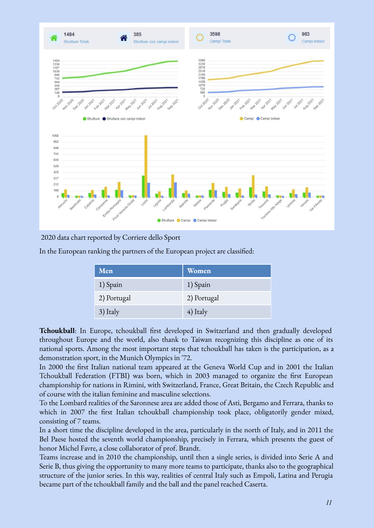

2020 data chart reported by Corriere dello Sport

In the European ranking the partners of the European project are classified:

| Men         | <b>Women</b> |
|-------------|--------------|
| 1) Spain    | 1) Spain     |
| 2) Portugal | 2) Portugal  |
| 3) Italy    | 4) Italy     |

**Tchoukball**: In Europe, tchoukball first developed in Switzerland and then gradually developed throughout Europe and the world, also thank to Taiwan recognizing this discipline as one of its national sports. Among the most important steps that tchoukball has taken is the participation, as a demonstration sport, in the Munich Olympics in '72.

In 2000 the first Italian national team appeared at the Geneva World Cup and in 2001 the Italian Tchoukball Federation (FTBI) was born, which in 2003 managed to organize the first European championship for nations in Rimini, with Switzerland, France, Great Britain, the Czech Republic and of course with the italian feminine and masculine selections.

To the Lombard realities of the Saronnese area are added those of Asti, Bergamo and Ferrara, thanks to which in 2007 the first Italian tchoukball championship took place, obligatorily gender mixed, consisting of 7 teams.

In a short time the discipline developed in the area, particularly in the north of Italy, and in 2011 the Bel Paese hosted the seventh world championship, precisely in Ferrara, which presents the guest of honor Michel Favre, a close collaborator of prof. Brandt.

Teams increase and in 2010 the championship, until then a single series, is divided into Serie A and Serie B, thus giving the opportunity to many more teams to participate, thanks also to the geographical structure of the junior series. In this way, realities of central Italy such as Empoli, Latina and Perugia became part of the tchoukball family and the ball and the panel reached Caserta.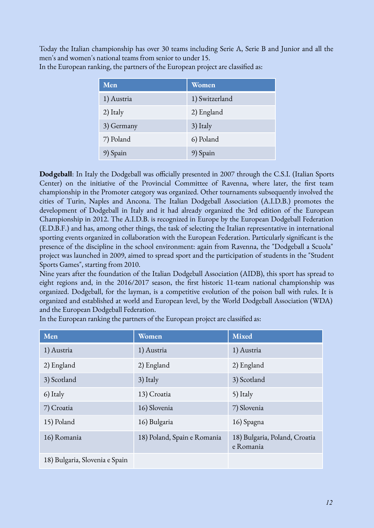Today the Italian championship has over 30 teams including Serie A, Serie B and Junior and all the men's and women's national teams from senior to under 15.

| Men        | Women          |
|------------|----------------|
| 1) Austria | 1) Switzerland |
| 2) Italy   | 2) England     |
| 3) Germany | 3) Italy       |
| 7) Poland  | 6) Poland      |
| 9) Spain   | 9) Spain       |

In the European ranking, the partners of the European project are classified as:

**Dodgeball**: In Italy the Dodgeball was officially presented in 2007 through the C.S.I. (Italian Sports Center) on the initiative of the Provincial Committee of Ravenna, where later, the first team championship in the Promoter category was organized. Other tournaments subsequently involved the cities of Turin, Naples and Ancona. The Italian Dodgeball Association (A.I.D.B.) promotes the development of Dodgeball in Italy and it had already organized the 3rd edition of the European Championship in 2012. The A.I.D.B. is recognized in Europe by the European Dodgeball Federation (E.D.B.F.) and has, among other things, the task of selecting the Italian representative in international sporting events organized in collaboration with the European Federation. Particularly significant is the presence of the discipline in the school environment: again from Ravenna, the "Dodgeball a Scuola" project was launched in 2009, aimed to spread sport and the participation of students in the "Student Sports Games", starting from 2010.

Nine years after the foundation of the Italian Dodgeball Association (AIDB), this sport has spread to eight regions and, in the 2016/2017 season, the first historic 11-team national championship was organized. Dodgeball, for the layman, is a competitive evolution of the poison ball with rules. It is organized and established at world and European level, by the World Dodgeball Association (WDA) and the European Dodgeball Federation.

| Men                            | Women                       | <b>Mixed</b>                               |
|--------------------------------|-----------------------------|--------------------------------------------|
| 1) Austria                     | 1) Austria                  | 1) Austria                                 |
| 2) England                     | 2) England                  | 2) England                                 |
| 3) Scotland                    | 3) Italy                    | 3) Scotland                                |
| 6) Italy                       | 13) Croatia                 | 5) Italy                                   |
| 7) Croatia                     | 16) Slovenia                | 7) Slovenia                                |
| 15) Poland                     | 16) Bulgaria                | 16) Spagna                                 |
| 16) Romania                    | 18) Poland, Spain e Romania | 18) Bulgaria, Poland, Croatia<br>e Romania |
| 18) Bulgaria, Slovenia e Spain |                             |                                            |

In the European ranking the partners of the European project are classified as: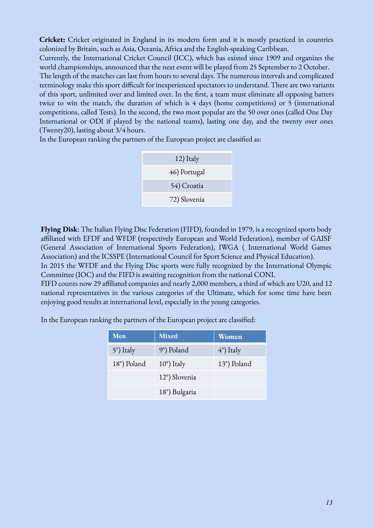**Cricket:** Cricket originated in England in its modern form and it is mostly practiced in countries colonized by Britain, such as Asia, Oceania, Africa and the English-speaking Caribbean.

Currently, the International Cricket Council (ICC), which has existed since 1909 and organizes the world championships, announced that the next event will be played from 25 September to 2 October.

The length of the matches can last from hours to several days. The numerous intervals and complicated terminology make this sport difficult for inexperienced spectators to understand. There are two variants of this sport, unlimited over and limited over. In the first, a team must eliminate all opposing batters twice to win the match, the duration of which is 4 days (home competitions) or 5 (international competitions, called Tests). In the second, the two most popular are the 50 over ones (called One Day International or ODI if played by the national teams), lasting one day, and the twenty over ones (Twenty20), lasting about 3/4 hours.

In the European ranking the partners of the European project are classified as:

| 12) Italy    |
|--------------|
| 46) Portugal |
| 54) Croatia  |
| 72) Slovenia |

**Flying Disk**: The Italian Flying Disc Federation (FIFD), founded in 1979, is a recognized sports body affiliated with EFDF and WFDF (respectively European and World Federation), member of GAISF (General Association of International Sports Federation), IWGA ( International World Games Association) and the ICSSPE (International Council for Sport Science and Physical Education). In 2015 the WFDF and the Flying Disc sports were fully recognized by the International Olympic

Committee (IOC) and the FIFD is awaiting recognition from the national CONI.

FIFD counts now 29 affiliated companies and nearly 2,000 members, a third of which are U20, and 12 national representatives in the various categories of the Ultimate, which for some time have been enjoying good results at international level, especially in the young categories.

In the European ranking the partners of the European project are classified:

| <b>Men</b>  | <b>Mixed</b>         | Women               |
|-------------|----------------------|---------------------|
| 5°) Italy   | 9°) Poland           | $(4^{\circ})$ Italy |
| 18°) Poland | $10^{\circ}$ ) Italy | 13°) Poland         |
|             | 12°) Slovenia        |                     |
|             | 18°) Bulgaria        |                     |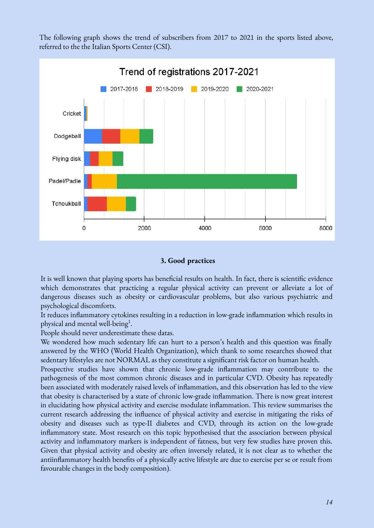The following graph shows the trend of subscribers from 2017 to 2021 in the sports listed above, referred to the the Italian Sports Center (CSI).



#### **3. Good practices**

It is well known that playing sports has beneficial results on health. In fact, there is scientific evidence which demonstrates that practicing a regular physical activity can prevent or alleviate a lot of dangerous diseases such as obesity or cardiovascular problems, but also various psychiatric and psychological discomforts.

It reduces inflammatory cytokines resulting in a reduction in low-grade inflammation which results in physical and mental well-being<sup>1</sup>.

People should never underestimate these datas.

We wondered how much sedentary life can hurt to a person's health and this question was finally answered by the WHO (World Health Organization), which thank to some researches showed that sedentary lifestyles are not NORMAL as they constitute a significant risk factor on human health.

Prospective studies have shown that chronic low-grade inflammation may contribute to the pathogenesis of the most common chronic diseases and in particular CVD. Obesity has repeatedly been associated with moderately raised levels of inflammation, and this observation has led to the view that obesity is characterised by a state of chronic low-grade inflammation. There is now great interest in elucidating how physical activity and exercise modulate inflammation. This review summarises the current research addressing the influence of physical activity and exercise in mitigating the risks of obesity and diseases such as type-II diabetes and CVD, through its action on the low-grade inflammatory state. Most research on this topic hypothesised that the association between physical activity and inflammatory markers is independent of fatness, but very few studies have proven this. Given that physical activity and obesity are often inversely related, it is not clear as to whether the antiinflammatory health benefits of a physically active lifestyle are due to exercise per se or result from favourable changes in the body composition).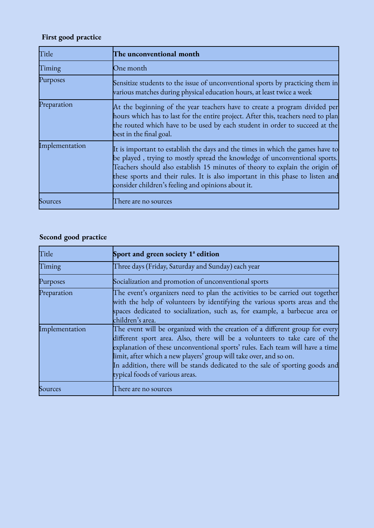# **First good practice**

| Title          | The unconventional month                                                                                                                                                                                                                                                                                                                                                             |
|----------------|--------------------------------------------------------------------------------------------------------------------------------------------------------------------------------------------------------------------------------------------------------------------------------------------------------------------------------------------------------------------------------------|
| Timing         | One month                                                                                                                                                                                                                                                                                                                                                                            |
| Purposes       | Sensitize students to the issue of unconventional sports by practicing them in<br>various matches during physical education hours, at least twice a week                                                                                                                                                                                                                             |
| Preparation    | At the beginning of the year teachers have to create a program divided per<br>hours which has to last for the entire project. After this, teachers need to plan<br>the routed which have to be used by each student in order to succeed at the<br>best in the final goal.                                                                                                            |
| Implementation | It is important to establish the days and the times in which the games have to<br>be played, trying to mostly spread the knowledge of unconventional sports.<br>Teachers should also establish 15 minutes of theory to explain the origin of<br>these sports and their rules. It is also important in this phase to listen and<br>consider children's feeling and opinions about it. |
| Sources        | There are no sources                                                                                                                                                                                                                                                                                                                                                                 |

# **Second good practice**

| Title          | Sport and green society $1^{\circ}$ edition                                                                                                                                                                                                                                                                                                                                                                                           |
|----------------|---------------------------------------------------------------------------------------------------------------------------------------------------------------------------------------------------------------------------------------------------------------------------------------------------------------------------------------------------------------------------------------------------------------------------------------|
| Timing         | Three days (Friday, Saturday and Sunday) each year                                                                                                                                                                                                                                                                                                                                                                                    |
| Purposes       | Socialization and promotion of unconventional sports                                                                                                                                                                                                                                                                                                                                                                                  |
| Preparation    | The event's organizers need to plan the activities to be carried out together<br>with the help of volunteers by identifying the various sports areas and the<br>spaces dedicated to socialization, such as, for example, a barbecue area or<br>children's area.                                                                                                                                                                       |
| Implementation | The event will be organized with the creation of a different group for every<br>different sport area. Also, there will be a volunteers to take care of the<br>explanation of these unconventional sports' rules. Each team will have a time<br>limit, after which a new players' group will take over, and so on.<br>In addition, there will be stands dedicated to the sale of sporting goods and<br>typical foods of various areas. |
| Sources        | There are no sources                                                                                                                                                                                                                                                                                                                                                                                                                  |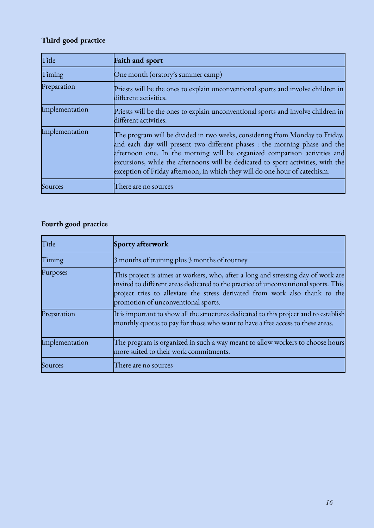# **Third good practice**

| Title          | <b>Faith and sport</b>                                                                                                                                                                                                                                                                                                                                                                                     |
|----------------|------------------------------------------------------------------------------------------------------------------------------------------------------------------------------------------------------------------------------------------------------------------------------------------------------------------------------------------------------------------------------------------------------------|
| Timing         | One month (oratory's summer camp)                                                                                                                                                                                                                                                                                                                                                                          |
| Preparation    | Priests will be the ones to explain unconventional sports and involve children in<br>different activities.                                                                                                                                                                                                                                                                                                 |
| Implementation | Priests will be the ones to explain unconventional sports and involve children in<br>different activities.                                                                                                                                                                                                                                                                                                 |
| Implementation | The program will be divided in two weeks, considering from Monday to Friday,<br>and each day will present two different phases : the morning phase and the<br>afternoon one. In the morning will be organized comparison activities and<br>excursions, while the afternoons will be dedicated to sport activities, with the<br>exception of Friday afternoon, in which they will do one hour of catechism. |
| Sources        | There are no sources                                                                                                                                                                                                                                                                                                                                                                                       |

# **Fourth good practice**

| Title          | Sporty afterwork                                                                                                                                                                                                                                                                               |
|----------------|------------------------------------------------------------------------------------------------------------------------------------------------------------------------------------------------------------------------------------------------------------------------------------------------|
| Timing         | 3 months of training plus 3 months of tourney                                                                                                                                                                                                                                                  |
| Purposes       | This project is aimes at workers, who, after a long and stressing day of work are<br>invited to different areas dedicated to the practice of unconventional sports. This<br>project tries to alleviate the stress derivated from work also thank to the<br>promotion of unconventional sports. |
| Preparation    | It is important to show all the structures dedicated to this project and to establish<br>monthly quotas to pay for those who want to have a free access to these areas.                                                                                                                        |
| Implementation | The program is organized in such a way meant to allow workers to choose hours<br>more suited to their work commitments.                                                                                                                                                                        |
| Sources        | here are no sources                                                                                                                                                                                                                                                                            |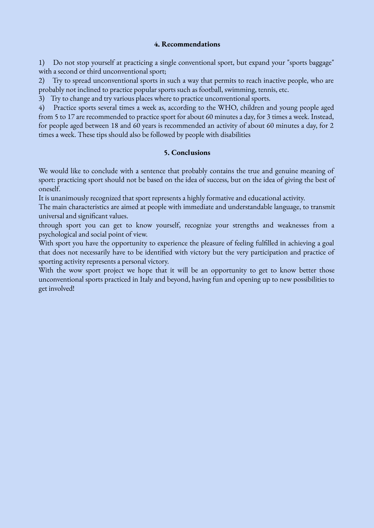#### **4. Recommendations**

1) Do not stop yourself at practicing a single conventional sport, but expand your "sports baggage" with a second or third unconventional sport;

2) Try to spread unconventional sports in such a way that permits to reach inactive people, who are probably not inclined to practice popular sports such as football, swimming, tennis, etc.

3) Try to change and try various places where to practice unconventional sports.

4) Practice sports several times a week as, according to the WHO, children and young people aged from 5 to 17 are recommended to practice sport for about 60 minutes a day, for 3 times a week. Instead, for people aged between 18 and 60 years is recommended an activity of about 60 minutes a day, for 2 times a week. These tips should also be followed by people with disabilities

#### **5. Conclusions**

We would like to conclude with a sentence that probably contains the true and genuine meaning of sport: practicing sport should not be based on the idea of success, but on the idea of giving the best of oneself.

It is unanimously recognized that sport represents a highly formative and educational activity.

The main characteristics are aimed at people with immediate and understandable language, to transmit universal and significant values.

through sport you can get to know yourself, recognize your strengths and weaknesses from a psychological and social point of view.

With sport you have the opportunity to experience the pleasure of feeling fulfilled in achieving a goal that does not necessarily have to be identified with victory but the very participation and practice of sporting activity represents a personal victory.

With the wow sport project we hope that it will be an opportunity to get to know better those unconventional sports practiced in Italy and beyond, having fun and opening up to new possibilities to get involved!